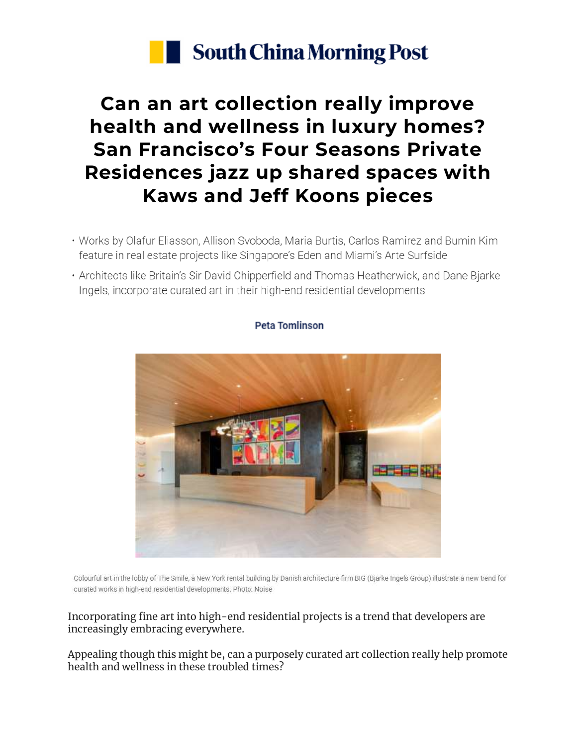

## **Can an art collection really improve health and wellness in luxury homes? San Francisco's Four Seasons Private Residences jazz up shared spaces with Kaws and Jeff Koons pieces**

- . Works by Olafur Eliasson, Allison Svoboda, Maria Burtis, Carlos Ramirez and Bumin Kim feature in real estate projects like Singapore's Eden and Miami's Arte Surfside
- Architects like Britain's Sir David Chipperfield and Thomas Heatherwick, and Dane Bjarke Ingels, incorporate curated art in their high-end residential developments



Colourful art in the lobby of The Smile, a New York rental building by Danish architecture firm BIG (Bjarke Ingels Group) illustrate a new trend for curated works in high-end residential developments. Photo: Noise

## Incorporating fine art into high-end residential projects is a trend that developers are increasingly embracing everywhere.

Appealing though this might be, can a purposely curated art collection really help promote health and wellness in these troubled times?

## **Peta Tomlinson**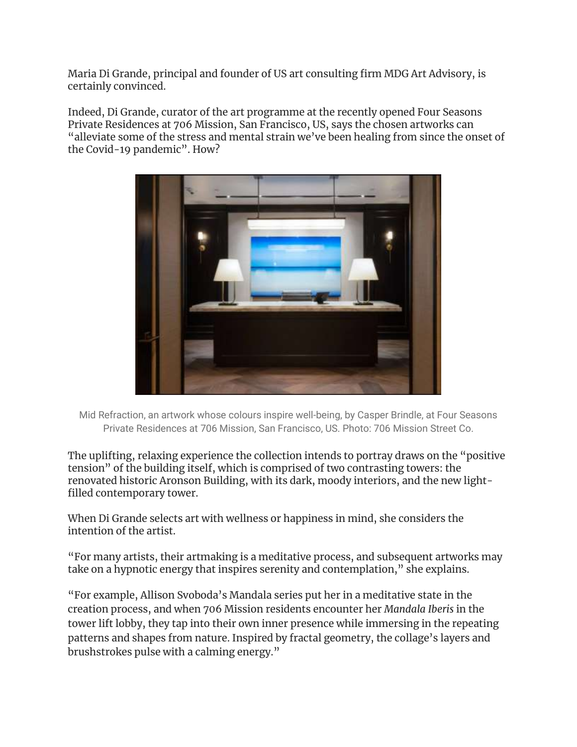Maria Di Grande, principal and founder of US art consulting firm MDG Art Advisory, is certainly convinced.

Indeed, Di Grande, curator of the art programme at the recently opened Four Seasons Private Residences at 706 Mission, San Francisco, US, says the chosen artworks can "alleviate some of the stress and mental strain we've been healing from since the onset of the Covid-19 pandemic". How?



Mid Refraction, an artwork whose colours inspire well-being, by Casper Brindle, at Four Seasons Private Residences at 706 Mission, San Francisco, US. Photo: 706 Mission Street Co.

The uplifting, relaxing experience the collection intends to portray draws on the "positive tension" of the building itself, which is comprised of two contrasting towers: the renovated historic Aronson Building, with its dark, moody interiors, and the new lightfilled contemporary tower.

When Di Grande selects art with wellness or happiness in mind, she considers the intention of the artist.

"For many artists, their artmaking is a meditative process, and subsequent artworks may take on a hypnotic energy that inspires serenity and contemplation," she explains.

"For example, Allison Svoboda's Mandala series put her in a meditative state in the creation process, and when 706 Mission residents encounter her *Mandala Iberis* in the tower lift lobby, they tap into their own inner presence while immersing in the repeating patterns and shapes from nature. Inspired by fractal geometry, the collage's layers and brushstrokes pulse with a calming energy."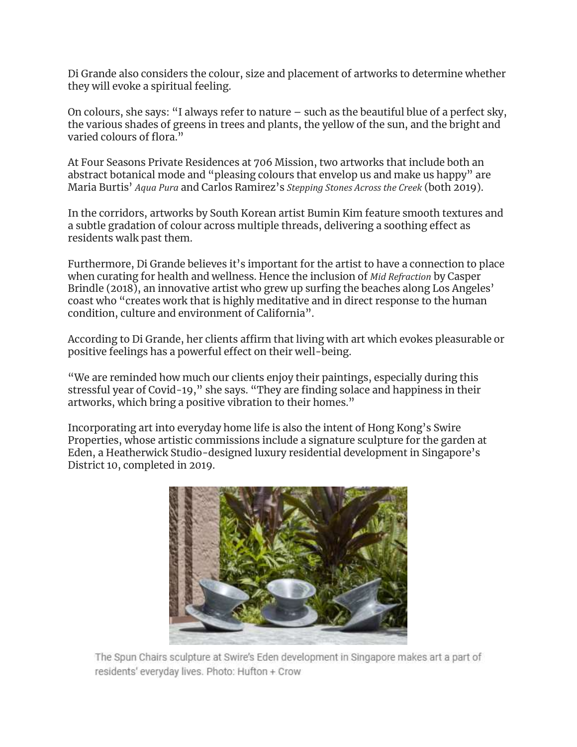Di Grande also considers the colour, size and placement of artworks to determine whether they will evoke a spiritual feeling.

On colours, she says: "I always refer to nature – such as the beautiful blue of a perfect sky, the various shades of greens in trees and plants, the yellow of the sun, and the bright and varied colours of flora."

At Four Seasons Private Residences at 706 Mission, two artworks that include both an abstract botanical mode and "pleasing colours that envelop us and make us happy" are Maria Burtis' *Aqua Pura* and Carlos Ramirez's *Stepping Stones Across the Creek* (both 2019).

In the corridors, artworks by South Korean artist Bumin Kim feature smooth textures and a subtle gradation of colour across multiple threads, delivering a soothing effect as residents walk past them.

Furthermore, Di Grande believes it's important for the artist to have a connection to place when curating for health and wellness. Hence the inclusion of *Mid Refraction* by Casper Brindle (2018), an innovative artist who grew up surfing the beaches along Los Angeles' coast who "creates work that is highly meditative and in direct response to the human condition, culture and environment of California".

According to Di Grande, her clients affirm that living with art which evokes pleasurable or positive feelings has a powerful effect on their well-being.

"We are reminded how much our clients enjoy their paintings, especially during this stressful year of Covid-19," she says. "They are finding solace and happiness in their artworks, which bring a positive vibration to their homes."

Incorporating art into everyday home life is also the intent of Hong Kong's Swire Properties, whose artistic commissions include a signature sculpture for the garden at Eden, a Heatherwick Studio-designed luxury residential development in Singapore's District 10, completed in 2019.



The Spun Chairs sculpture at Swire's Eden development in Singapore makes art a part of residents' everyday lives. Photo: Hufton + Crow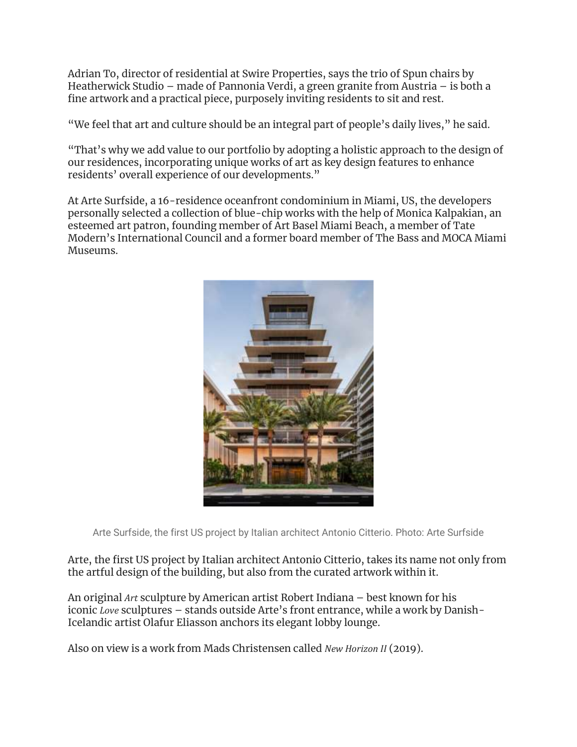Adrian To, director of residential at Swire Properties, says the trio of Spun chairs by Heatherwick Studio – made of Pannonia Verdi, a green granite from Austria – is both a fine artwork and a practical piece, purposely inviting residents to sit and rest.

"We feel that art and culture should be an integral part of people's daily lives," he said.

"That's why we add value to our portfolio by adopting a holistic approach to the design of our residences, incorporating unique works of art as key design features to enhance residents' overall experience of our developments."

At Arte Surfside, a 16-residence oceanfront condominium in Miami, US, the developers personally selected a collection of blue-chip works with the help of Monica Kalpakian, an esteemed art patron, founding member of Art Basel Miami Beach, a member of Tate Modern's International Council and a former board member of The Bass and MOCA Miami Museums.



Arte Surfside, the first US project by Italian architect Antonio Citterio. Photo: Arte Surfside

Arte, the first US project by Italian architect Antonio Citterio, takes its name not only from the artful design of the building, but also from the curated artwork within it.

An original *Art* sculpture by American artist Robert Indiana – best known for his iconic *Love* sculptures – stands outside Arte's front entrance, while a work by Danish-Icelandic artist Olafur Eliasson anchors its elegant lobby lounge.

Also on view is a work from Mads Christensen called *New Horizon II* (2019).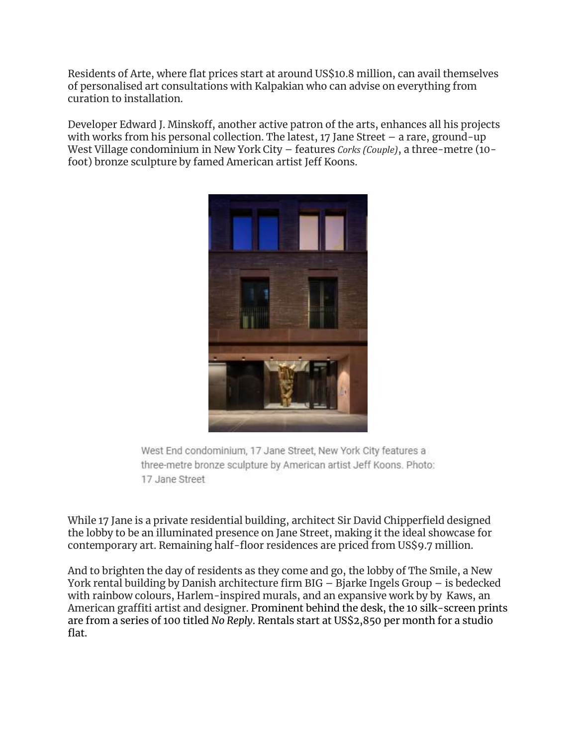Residents of Arte, where flat prices start at around US\$10.8 million, can avail themselves of personalised art consultations with Kalpakian who can advise on everything from curation to installation.

Developer Edward J. Minskoff, another active patron of the arts, enhances all his projects with works from his personal collection. The latest, 17 Jane Street – a rare, ground-up West Village condominium in New York City – features *Corks (Couple)*, a three-metre (10 foot) bronze sculpture by famed American artist Jeff Koons.



West End condominium, 17 Jane Street, New York City features a three-metre bronze sculpture by American artist Jeff Koons. Photo: 17 Jane Street

While 17 Jane is a private residential building, architect Sir David Chipperfield designed the lobby to be an illuminated presence on Jane Street, making it the ideal showcase for contemporary art. Remaining half-floor residences are priced from US\$9.7 million.

And to brighten the day of residents as they come and go, the lobby of The Smile, a New York rental building by Danish architecture firm BIG – Bjarke Ingels Group – is bedecked with rainbow colours, Harlem-inspired murals, and an expansive work by by [Kaws,](https://www.scmp.com/magazines/style/celebrity/article/3148133/g-dragons-ott-art-and-decor-collection-kaws-plushies?module=inline&pgtype=article) an [American](https://www.scmp.com/magazines/style/celebrity/article/3148133/g-dragons-ott-art-and-decor-collection-kaws-plushies?module=inline&pgtype=article) graffiti artist and designer. Prominent behind the desk, the 10 silk-screen prints are from a series of 100 titled *No Reply*. Rentals start at US\$2,850 per month for a studio flat.